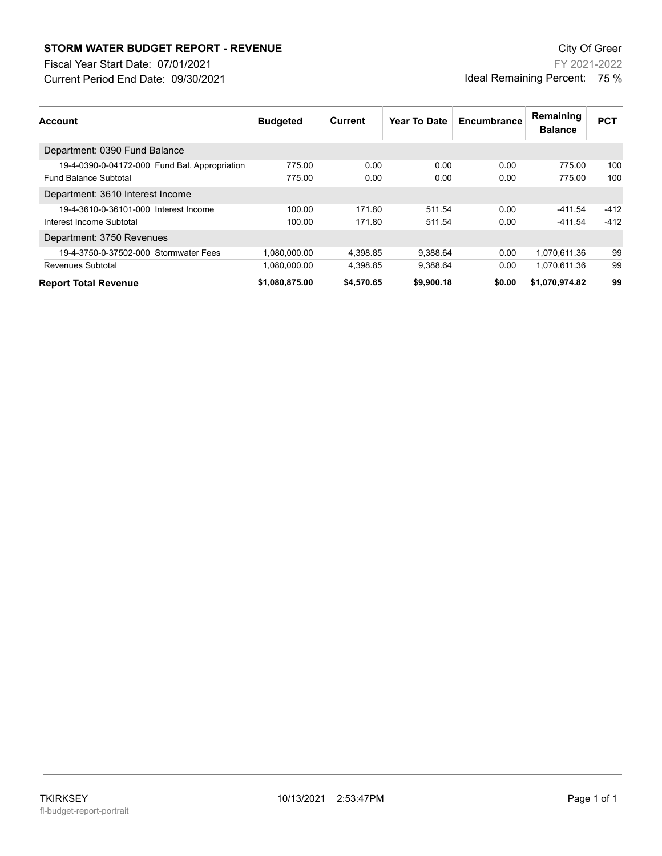## **STORM WATER BUDGET REPORT - REVENUE CONSUMPTER BUDGET REPORT - REVENUE**

Current Period End Date: 09/30/2021 Fiscal Year Start Date: 07/01/2021

FY 2021-2022 Ideal Remaining Percent: 75 %

| Account                                       | <b>Budgeted</b> | Current    | Year To Date | Encumbrance | Remaining<br><b>Balance</b> | <b>PCT</b> |
|-----------------------------------------------|-----------------|------------|--------------|-------------|-----------------------------|------------|
| Department: 0390 Fund Balance                 |                 |            |              |             |                             |            |
| 19-4-0390-0-04172-000 Fund Bal. Appropriation | 775.00          | 0.00       | 0.00         | 0.00        | 775.00                      | 100        |
| <b>Fund Balance Subtotal</b>                  | 775.00          | 0.00       | 0.00         | 0.00        | 775.00                      | 100        |
| Department: 3610 Interest Income              |                 |            |              |             |                             |            |
| 19-4-3610-0-36101-000 Interest Income         | 100.00          | 171.80     | 511.54       | 0.00        | -411.54                     | $-412$     |
| Interest Income Subtotal                      | 100.00          | 171.80     | 511.54       | 0.00        | $-411.54$                   | $-412$     |
| Department: 3750 Revenues                     |                 |            |              |             |                             |            |
| 19-4-3750-0-37502-000 Stormwater Fees         | 1,080,000.00    | 4.398.85   | 9.388.64     | 0.00        | 1.070.611.36                | 99         |
| <b>Revenues Subtotal</b>                      | 1,080,000.00    | 4,398.85   | 9,388.64     | 0.00        | 1,070,611.36                | 99         |
| <b>Report Total Revenue</b>                   | \$1,080,875.00  | \$4.570.65 | \$9,900.18   | \$0.00      | \$1,070,974.82              | 99         |